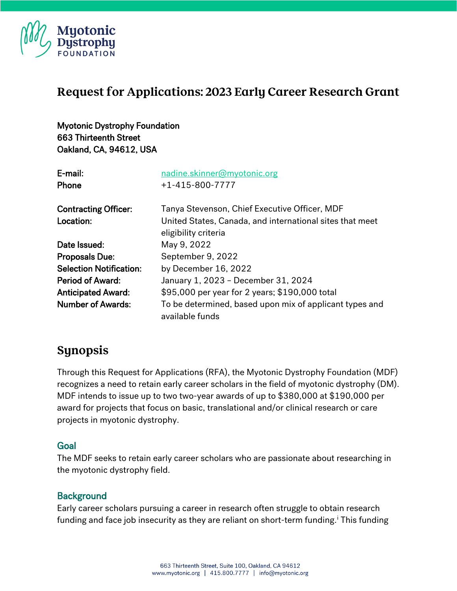

# **Request for Applications: 2023 Early Career Research Grant**

Myotonic Dystrophy Foundation 663 Thirteenth Street Oakland, CA, 94612, USA

| E-mail:                        | nadine.skinner@myotonic.org                                                      |
|--------------------------------|----------------------------------------------------------------------------------|
| Phone                          | $+1 - 415 - 800 - 7777$                                                          |
| <b>Contracting Officer:</b>    | Tanya Stevenson, Chief Executive Officer, MDF                                    |
| Location:                      | United States, Canada, and international sites that meet<br>eligibility criteria |
| Date Issued:                   | May 9, 2022                                                                      |
| <b>Proposals Due:</b>          | September 9, 2022                                                                |
| <b>Selection Notification:</b> | by December 16, 2022                                                             |
| <b>Period of Award:</b>        | January 1, 2023 - December 31, 2024                                              |
| <b>Anticipated Award:</b>      | \$95,000 per year for 2 years; \$190,000 total                                   |
| <b>Number of Awards:</b>       | To be determined, based upon mix of applicant types and<br>available funds       |

# **Synopsis**

Through this Request for Applications (RFA), the Myotonic Dystrophy Foundation (MDF) recognizes a need to retain early career scholars in the field of myotonic dystrophy (DM). MDF intends to issue up to two two-year awards of up to \$380,000 at \$190,000 per award for projects that focus on basic, translational and/or clinical research or care projects in myotonic dystrophy.

#### Goal

The MDF seeks to retain early career scholars who are passionate about researching in the myotonic dystrophy field.

#### **Background**

Early career scholars pursuing a career in research often struggle to obtain research fund[i](#page-7-0)ng and face job insecurity as they are reliant on short-term funding.<sup>i</sup> This funding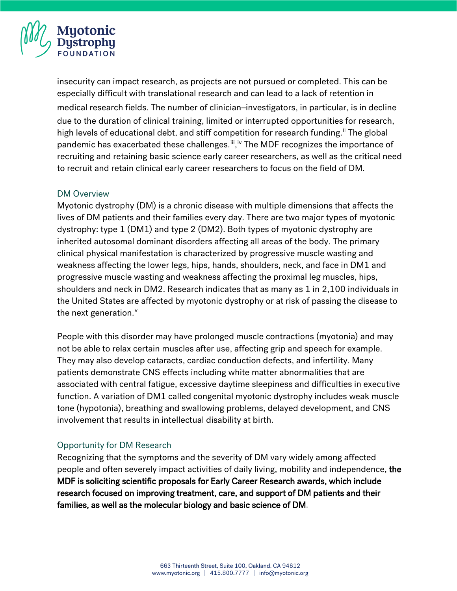

insecurity can impact research, as projects are not pursued or completed. This can be especially difficult with translational research and can lead to a lack of retention in medical research fields. The number of clinician–investigators, in particular, is in decline due to the duration of clinical training, limited or interrupted opportunities for research, high levels of educational debt, and stiff competition for research funding.<sup>[ii](#page-7-1)</sup> The global pandemic has exacerbated these challenges.<sup>iii</sup>,<sup>[iv](#page-7-3)</sup> The MDF recognizes the importance of recruiting and retaining basic science early career researchers, as well as the critical need to recruit and retain clinical early career researchers to focus on the field of DM.

#### DM Overview

Myotonic dystrophy (DM) is a chronic disease with multiple dimensions that affects the lives of DM patients and their families every day. There are two major types of myotonic dystrophy: type 1 (DM1) and type 2 (DM2). Both types of myotonic dystrophy are inherited autosomal dominant disorders affecting all areas of the body. The primary clinical physical manifestation is characterized by progressive muscle wasting and weakness affecting the lower legs, hips, hands, shoulders, neck, and face in DM1 and progressive muscle wasting and weakness affecting the proximal leg muscles, hips, shoulders and neck in DM2. Research indicates that as many as 1 in 2,100 individuals in the United States are affected by myotonic dystrophy or at risk of passing the disease to the next generation.<sup>[v](#page-7-4)</sup>

People with this disorder may have prolonged muscle contractions (myotonia) and may not be able to relax certain muscles after use, affecting grip and speech for example. They may also develop cataracts, cardiac conduction defects, and infertility. Many patients demonstrate CNS effects including white matter abnormalities that are associated with central fatigue, excessive daytime sleepiness and difficulties in executive function. A variation of DM1 called congenital myotonic dystrophy includes weak muscle tone (hypotonia), breathing and swallowing problems, delayed development, and CNS involvement that results in intellectual disability at birth.

#### Opportunity for DM Research

Recognizing that the symptoms and the severity of DM vary widely among affected people and often severely impact activities of daily living, mobility and independence, the MDF is soliciting scientific proposals for Early Career Research awards, which include research focused on improving treatment, care, and support of DM patients and their families, as well as the molecular biology and basic science of DM.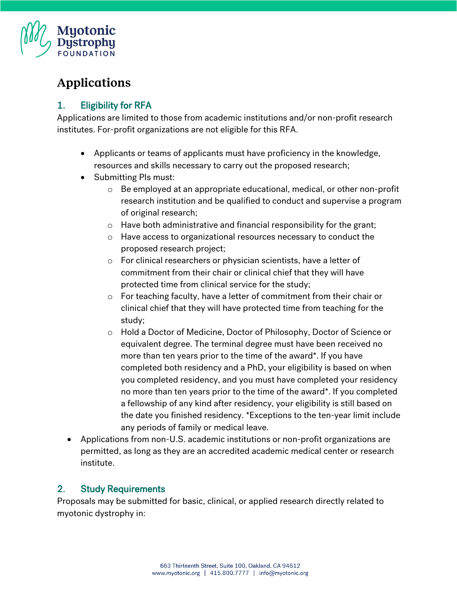

# **Applications**

### 1. Eligibility for RFA

Applications are limited to those from academic institutions and/or non-profit research institutes. For-profit organizations are not eligible for this RFA.

- Applicants or teams of applicants must have proficiency in the knowledge, resources and skills necessary to carry out the proposed research;
- Submitting PIs must:
	- $\circ$  Be employed at an appropriate educational, medical, or other non-profit research institution and be qualified to conduct and supervise a program of original research;
	- o Have both administrative and financial responsibility for the grant;
	- o Have access to organizational resources necessary to conduct the proposed research project;
	- o For clinical researchers or physician scientists, have a letter of commitment from their chair or clinical chief that they will have protected time from clinical service for the study;
	- o For teaching faculty, have a letter of commitment from their chair or clinical chief that they will have protected time from teaching for the study;
	- o Hold a Doctor of Medicine, Doctor of Philosophy, Doctor of Science or equivalent degree. The terminal degree must have been received no more than ten years prior to the time of the award\*. If you have completed both residency and a PhD, your eligibility is based on when you completed residency, and you must have completed your residency no more than ten years prior to the time of the award\*. If you completed a fellowship of any kind after residency, your eligibility is still based on the date you finished residency. \*Exceptions to the ten-year limit include any periods of family or medical leave.
- Applications from non-U.S. academic institutions or non-profit organizations are permitted, as long as they are an accredited academic medical center or research institute.

### 2. Study Requirements

Proposals may be submitted for basic, clinical, or applied research directly related to myotonic dystrophy in: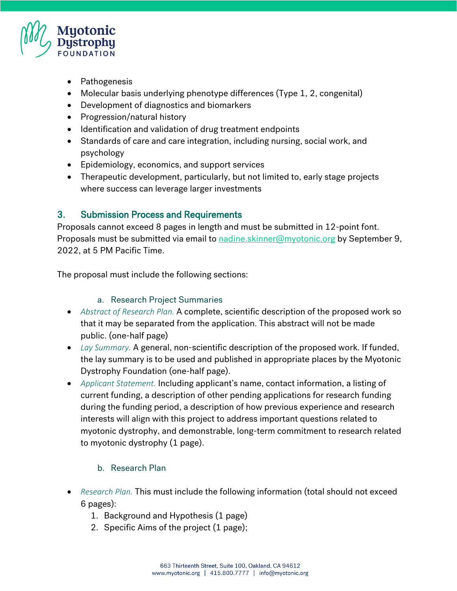

- Pathogenesis
- Molecular basis underlying phenotype differences (Type 1, 2, congenital)
- Development of diagnostics and biomarkers
- Progression/natural history
- Identification and validation of drug treatment endpoints
- Standards of care and care integration, including nursing, social work, and psychology
- Epidemiology, economics, and support services
- Therapeutic development, particularly, but not limited to, early stage projects where success can leverage larger investments

## 3. Submission Process and Requirements

Proposals cannot exceed 8 pages in length and must be submitted in 12-point font. Proposals must be submitted via email to [nadine.skinner@myotonic.org](mailto:nadine.skinner@myotonic.org) by September 9, 2022, at 5 PM Pacific Time.

The proposal must include the following sections:

#### a. Research Project Summaries

- *Abstract of Research Plan.* A complete, scientific description of the proposed work so that it may be separated from the application. This abstract will not be made public. (one-half page)
- *Lay Summary.* A general, non-scientific description of the proposed work. If funded, the lay summary is to be used and published in appropriate places by the Myotonic Dystrophy Foundation (one-half page).
- *Applicant Statement.* Including applicant's name, contact information, a listing of current funding, a description of other pending applications for research funding during the funding period, a description of how previous experience and research interests will align with this project to address important questions related to myotonic dystrophy, and demonstrable, long-term commitment to research related to myotonic dystrophy (1 page).

### b. Research Plan

- *Research Plan.* This must include the following information (total should not exceed 6 pages):
	- 1. Background and Hypothesis (1 page)
	- 2. Specific Aims of the project (1 page);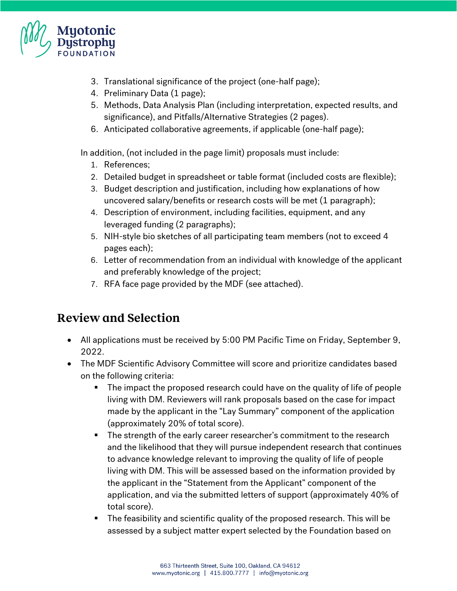

- 3. Translational significance of the project (one-half page);
- 4. Preliminary Data (1 page);
- 5. Methods, Data Analysis Plan (including interpretation, expected results, and significance), and Pitfalls/Alternative Strategies (2 pages).
- 6. Anticipated collaborative agreements, if applicable (one-half page);

In addition, (not included in the page limit) proposals must include:

- 1. References;
- 2. Detailed budget in spreadsheet or table format (included costs are flexible);
- 3. Budget description and justification, including how explanations of how uncovered salary/benefits or research costs will be met (1 paragraph);
- 4. Description of environment, including facilities, equipment, and any leveraged funding (2 paragraphs);
- 5. NIH-style bio sketches of all participating team members (not to exceed 4 pages each);
- 6. Letter of recommendation from an individual with knowledge of the applicant and preferably knowledge of the project;
- 7. RFA face page provided by the MDF (see attached).

# **Review and Selection**

- All applications must be received by 5:00 PM Pacific Time on Friday, September 9, 2022.
- The MDF Scientific Advisory Committee will score and prioritize candidates based on the following criteria:
	- The impact the proposed research could have on the quality of life of people living with DM. Reviewers will rank proposals based on the case for impact made by the applicant in the "Lay Summary" component of the application (approximately 20% of total score).
	- The strength of the early career researcher's commitment to the research and the likelihood that they will pursue independent research that continues to advance knowledge relevant to improving the quality of life of people living with DM. This will be assessed based on the information provided by the applicant in the "Statement from the Applicant" component of the application, and via the submitted letters of support (approximately 40% of total score).
	- The feasibility and scientific quality of the proposed research. This will be assessed by a subject matter expert selected by the Foundation based on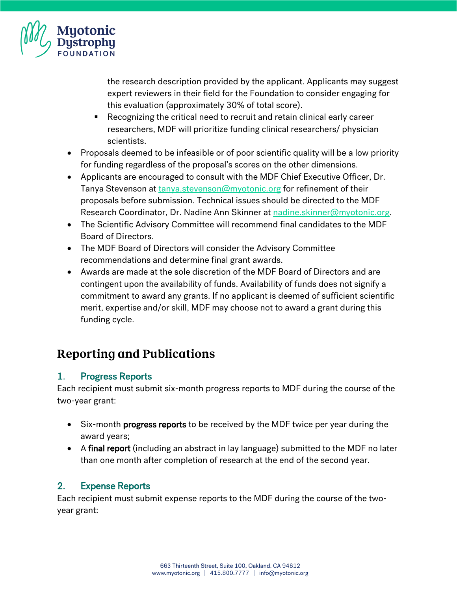

the research description provided by the applicant. Applicants may suggest expert reviewers in their field for the Foundation to consider engaging for this evaluation (approximately 30% of total score).

- Recognizing the critical need to recruit and retain clinical early career researchers, MDF will prioritize funding clinical researchers/ physician scientists.
- Proposals deemed to be infeasible or of poor scientific quality will be a low priority for funding regardless of the proposal's scores on the other dimensions.
- Applicants are encouraged to consult with the MDF Chief Executive Officer, Dr. Tanya Stevenson at [tanya.stevenson@myotonic.org](mailto:tanya.stevenson@myotonic.org) for refinement of their proposals before submission. Technical issues should be directed to the MDF Research Coordinator, Dr. Nadine Ann Skinner at [nadine.skinner@myotonic.org.](mailto:nadine.skinner@myotonic.org)
- The Scientific Advisory Committee will recommend final candidates to the MDF Board of Directors.
- The MDF Board of Directors will consider the Advisory Committee recommendations and determine final grant awards.
- Awards are made at the sole discretion of the MDF Board of Directors and are contingent upon the availability of funds. Availability of funds does not signify a commitment to award any grants. If no applicant is deemed of sufficient scientific merit, expertise and/or skill, MDF may choose not to award a grant during this funding cycle.

# **Reporting and Publications**

## 1. Progress Reports

Each recipient must submit six-month progress reports to MDF during the course of the two-year grant:

- Six-month progress reports to be received by the MDF twice per year during the award years;
- A final report (including an abstract in lay language) submitted to the MDF no later than one month after completion of research at the end of the second year.

## 2. Expense Reports

Each recipient must submit expense reports to the MDF during the course of the twoyear grant: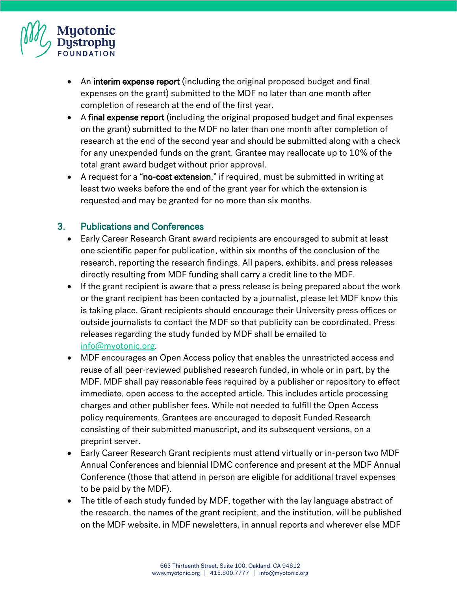

- An interim expense report (including the original proposed budget and final expenses on the grant) submitted to the MDF no later than one month after completion of research at the end of the first year.
- A final expense report (including the original proposed budget and final expenses on the grant) submitted to the MDF no later than one month after completion of research at the end of the second year and should be submitted along with a check for any unexpended funds on the grant. Grantee may reallocate up to 10% of the total grant award budget without prior approval.
- A request for a "no-cost extension," if required, must be submitted in writing at least two weeks before the end of the grant year for which the extension is requested and may be granted for no more than six months.

### 3. Publications and Conferences

- Early Career Research Grant award recipients are encouraged to submit at least one scientific paper for publication, within six months of the conclusion of the research, reporting the research findings. All papers, exhibits, and press releases directly resulting from MDF funding shall carry a credit line to the MDF.
- If the grant recipient is aware that a press release is being prepared about the work or the grant recipient has been contacted by a journalist, please let MDF know this is taking place. Grant recipients should encourage their University press offices or outside journalists to contact the MDF so that publicity can be coordinated. Press releases regarding the study funded by MDF shall be emailed to [info@myotonic.org.](mailto:info@myotonic.org)
- MDF encourages an Open Access policy that enables the unrestricted access and reuse of all peer-reviewed published research funded, in whole or in part, by the MDF. MDF shall pay reasonable fees required by a publisher or repository to effect immediate, open access to the accepted article. This includes article processing charges and other publisher fees. While not needed to fulfill the Open Access policy requirements, Grantees are encouraged to deposit Funded Research consisting of their submitted manuscript, and its subsequent versions, on a preprint server.
- Early Career Research Grant recipients must attend virtually or in-person two MDF Annual Conferences and biennial IDMC conference and present at the MDF Annual Conference (those that attend in person are eligible for additional travel expenses to be paid by the MDF).
- The title of each study funded by MDF, together with the lay language abstract of the research, the names of the grant recipient, and the institution, will be published on the MDF website, in MDF newsletters, in annual reports and wherever else MDF